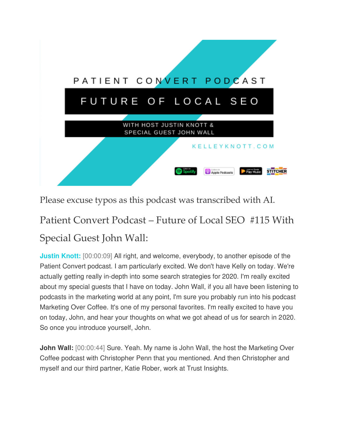

Please excuse typos as this podcast was transcribed with AI.

# Patient Convert Podcast – Future of Local SEO #115 With Special Guest John Wall:

**Justin Knott:** [00:00:09] All right, and welcome, everybody, to another episode of the Patient Convert podcast. I am particularly excited. We don't have Kelly on today. We're actually getting really in-depth into some search strategies for 2020. I'm really excited about my special guests that I have on today. John Wall, if you all have been listening to podcasts in the marketing world at any point, I'm sure you probably run into his podcast Marketing Over Coffee. It's one of my personal favorites. I'm really excited to have you on today, John, and hear your thoughts on what we got ahead of us for search in 2020. So once you introduce yourself, John.

**John Wall:** [00:00:44] Sure. Yeah. My name is John Wall, the host the Marketing Over Coffee podcast with Christopher Penn that you mentioned. And then Christopher and myself and our third partner, Katie Rober, work at Trust Insights.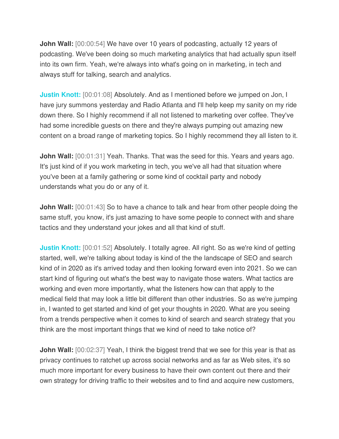**John Wall:** [00:00:54] We have over 10 years of podcasting, actually 12 years of podcasting. We've been doing so much marketing analytics that had actually spun itself into its own firm. Yeah, we're always into what's going on in marketing, in tech and always stuff for talking, search and analytics.

**Justin Knott:** [00:01:08] Absolutely. And as I mentioned before we jumped on Jon, I have jury summons yesterday and Radio Atlanta and I'll help keep my sanity on my ride down there. So I highly recommend if all not listened to marketing over coffee. They've had some incredible guests on there and they're always pumping out amazing new content on a broad range of marketing topics. So I highly recommend they all listen to it.

**John Wall:** [00:01:31] Yeah. Thanks. That was the seed for this. Years and years ago. It's just kind of if you work marketing in tech, you we've all had that situation where you've been at a family gathering or some kind of cocktail party and nobody understands what you do or any of it.

**John Wall:**  $[00:01:43]$  So to have a chance to talk and hear from other people doing the same stuff, you know, it's just amazing to have some people to connect with and share tactics and they understand your jokes and all that kind of stuff.

**Justin Knott:** [00:01:52] Absolutely. I totally agree. All right. So as we're kind of getting started, well, we're talking about today is kind of the the landscape of SEO and search kind of in 2020 as it's arrived today and then looking forward even into 2021. So we can start kind of figuring out what's the best way to navigate those waters. What tactics are working and even more importantly, what the listeners how can that apply to the medical field that may look a little bit different than other industries. So as we're jumping in, I wanted to get started and kind of get your thoughts in 2020. What are you seeing from a trends perspective when it comes to kind of search and search strategy that you think are the most important things that we kind of need to take notice of?

**John Wall:** [00:02:37] Yeah, I think the biggest trend that we see for this year is that as privacy continues to ratchet up across social networks and as far as Web sites, it's so much more important for every business to have their own content out there and their own strategy for driving traffic to their websites and to find and acquire new customers,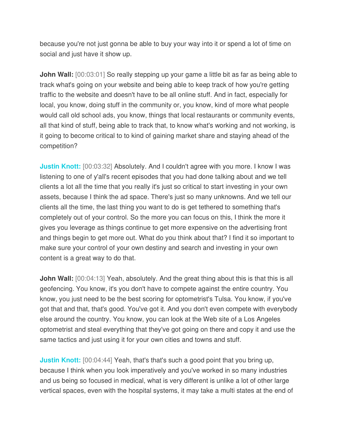because you're not just gonna be able to buy your way into it or spend a lot of time on social and just have it show up.

**John Wall:** [00:03:01] So really stepping up your game a little bit as far as being able to track what's going on your website and being able to keep track of how you're getting traffic to the website and doesn't have to be all online stuff. And in fact, especially for local, you know, doing stuff in the community or, you know, kind of more what people would call old school ads, you know, things that local restaurants or community events, all that kind of stuff, being able to track that, to know what's working and not working, is it going to become critical to to kind of gaining market share and staying ahead of the competition?

**Justin Knott:** [00:03:32] Absolutely. And I couldn't agree with you more. I know I was listening to one of y'all's recent episodes that you had done talking about and we tell clients a lot all the time that you really it's just so critical to start investing in your own assets, because I think the ad space. There's just so many unknowns. And we tell our clients all the time, the last thing you want to do is get tethered to something that's completely out of your control. So the more you can focus on this, I think the more it gives you leverage as things continue to get more expensive on the advertising front and things begin to get more out. What do you think about that? I find it so important to make sure your control of your own destiny and search and investing in your own content is a great way to do that.

**John Wall:** [00:04:13] Yeah, absolutely. And the great thing about this is that this is all geofencing. You know, it's you don't have to compete against the entire country. You know, you just need to be the best scoring for optometrist's Tulsa. You know, if you've got that and that, that's good. You've got it. And you don't even compete with everybody else around the country. You know, you can look at the Web site of a Los Angeles optometrist and steal everything that they've got going on there and copy it and use the same tactics and just using it for your own cities and towns and stuff.

**Justin Knott:** [00:04:44] Yeah, that's that's such a good point that you bring up, because I think when you look imperatively and you've worked in so many industries and us being so focused in medical, what is very different is unlike a lot of other large vertical spaces, even with the hospital systems, it may take a multi states at the end of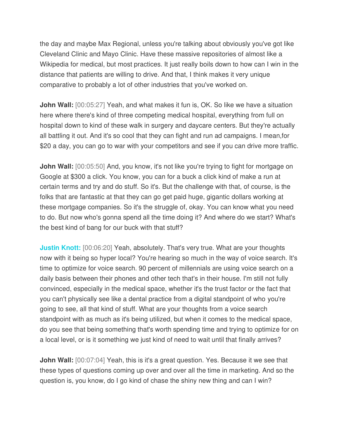the day and maybe Max Regional, unless you're talking about obviously you've got like Cleveland Clinic and Mayo Clinic. Have these massive repositories of almost like a Wikipedia for medical, but most practices. It just really boils down to how can I win in the distance that patients are willing to drive. And that, I think makes it very unique comparative to probably a lot of other industries that you've worked on.

**John Wall:** [00:05:27] Yeah, and what makes it fun is, OK. So like we have a situation here where there's kind of three competing medical hospital, everything from full on hospital down to kind of these walk in surgery and daycare centers. But they're actually all battling it out. And it's so cool that they can fight and run ad campaigns. I mean,for \$20 a day, you can go to war with your competitors and see if you can drive more traffic.

**John Wall:** [00:05:50] And, you know, it's not like you're trying to fight for mortgage on Google at \$300 a click. You know, you can for a buck a click kind of make a run at certain terms and try and do stuff. So it's. But the challenge with that, of course, is the folks that are fantastic at that they can go get paid huge, gigantic dollars working at these mortgage companies. So it's the struggle of, okay. You can know what you need to do. But now who's gonna spend all the time doing it? And where do we start? What's the best kind of bang for our buck with that stuff?

**Justin Knott:** [00:06:20] Yeah, absolutely. That's very true. What are your thoughts now with it being so hyper local? You're hearing so much in the way of voice search. It's time to optimize for voice search. 90 percent of millennials are using voice search on a daily basis between their phones and other tech that's in their house. I'm still not fully convinced, especially in the medical space, whether it's the trust factor or the fact that you can't physically see like a dental practice from a digital standpoint of who you're going to see, all that kind of stuff. What are your thoughts from a voice search standpoint with as much as it's being utilized, but when it comes to the medical space, do you see that being something that's worth spending time and trying to optimize for on a local level, or is it something we just kind of need to wait until that finally arrives?

**John Wall:** [00:07:04] Yeah, this is it's a great question. Yes. Because it we see that these types of questions coming up over and over all the time in marketing. And so the question is, you know, do I go kind of chase the shiny new thing and can I win?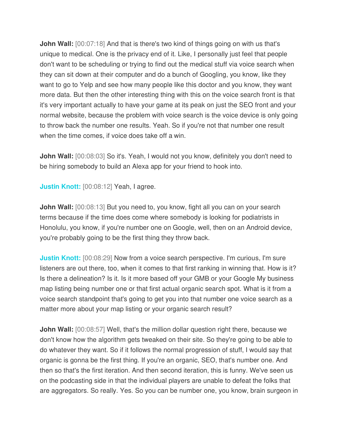**John Wall:** [00:07:18] And that is there's two kind of things going on with us that's unique to medical. One is the privacy end of it. Like, I personally just feel that people don't want to be scheduling or trying to find out the medical stuff via voice search when they can sit down at their computer and do a bunch of Googling, you know, like they want to go to Yelp and see how many people like this doctor and you know, they want more data. But then the other interesting thing with this on the voice search front is that it's very important actually to have your game at its peak on just the SEO front and your normal website, because the problem with voice search is the voice device is only going to throw back the number one results. Yeah. So if you're not that number one result when the time comes, if voice does take off a win.

**John Wall:** [00:08:03] So it's. Yeah, I would not you know, definitely you don't need to be hiring somebody to build an Alexa app for your friend to hook into.

**Justin Knott:** [00:08:12] Yeah, I agree.

**John Wall:** [00:08:13] But you need to, you know, fight all you can on your search terms because if the time does come where somebody is looking for podiatrists in Honolulu, you know, if you're number one on Google, well, then on an Android device, you're probably going to be the first thing they throw back.

**Justin Knott:** [00:08:29] Now from a voice search perspective. I'm curious, I'm sure listeners are out there, too, when it comes to that first ranking in winning that. How is it? Is there a delineation? Is it. Is it more based off your GMB or your Google My business map listing being number one or that first actual organic search spot. What is it from a voice search standpoint that's going to get you into that number one voice search as a matter more about your map listing or your organic search result?

**John Wall:** [00:08:57] Well, that's the million dollar question right there, because we don't know how the algorithm gets tweaked on their site. So they're going to be able to do whatever they want. So if it follows the normal progression of stuff, I would say that organic is gonna be the first thing. If you're an organic, SEO, that's number one. And then so that's the first iteration. And then second iteration, this is funny. We've seen us on the podcasting side in that the individual players are unable to defeat the folks that are aggregators. So really. Yes. So you can be number one, you know, brain surgeon in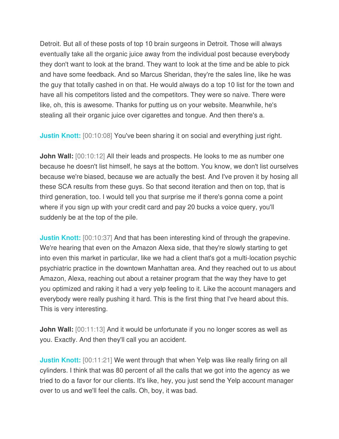Detroit. But all of these posts of top 10 brain surgeons in Detroit. Those will always eventually take all the organic juice away from the individual post because everybody they don't want to look at the brand. They want to look at the time and be able to pick and have some feedback. And so Marcus Sheridan, they're the sales line, like he was the guy that totally cashed in on that. He would always do a top 10 list for the town and have all his competitors listed and the competitors. They were so naive. There were like, oh, this is awesome. Thanks for putting us on your website. Meanwhile, he's stealing all their organic juice over cigarettes and tongue. And then there's a.

**Justin Knott:** [00:10:08] You've been sharing it on social and everything just right.

**John Wall:** [00:10:12] All their leads and prospects. He looks to me as number one because he doesn't list himself, he says at the bottom. You know, we don't list ourselves because we're biased, because we are actually the best. And I've proven it by hosing all these SCA results from these guys. So that second iteration and then on top, that is third generation, too. I would tell you that surprise me if there's gonna come a point where if you sign up with your credit card and pay 20 bucks a voice query, you'll suddenly be at the top of the pile.

**Justin Knott:** [00:10:37] And that has been interesting kind of through the grapevine. We're hearing that even on the Amazon Alexa side, that they're slowly starting to get into even this market in particular, like we had a client that's got a multi-location psychic psychiatric practice in the downtown Manhattan area. And they reached out to us about Amazon, Alexa, reaching out about a retainer program that the way they have to get you optimized and raking it had a very yelp feeling to it. Like the account managers and everybody were really pushing it hard. This is the first thing that I've heard about this. This is very interesting.

**John Wall:** [00:11:13] And it would be unfortunate if you no longer scores as well as you. Exactly. And then they'll call you an accident.

**Justin Knott:** [00:11:21] We went through that when Yelp was like really firing on all cylinders. I think that was 80 percent of all the calls that we got into the agency as we tried to do a favor for our clients. It's like, hey, you just send the Yelp account manager over to us and we'll feel the calls. Oh, boy, it was bad.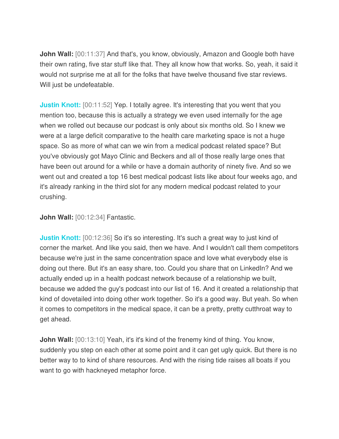**John Wall:** [00:11:37] And that's, you know, obviously, Amazon and Google both have their own rating, five star stuff like that. They all know how that works. So, yeah, it said it would not surprise me at all for the folks that have twelve thousand five star reviews. Will just be undefeatable.

**Justin Knott:** [00:11:52] Yep. I totally agree. It's interesting that you went that you mention too, because this is actually a strategy we even used internally for the age when we rolled out because our podcast is only about six months old. So I knew we were at a large deficit comparative to the health care marketing space is not a huge space. So as more of what can we win from a medical podcast related space? But you've obviously got Mayo Clinic and Beckers and all of those really large ones that have been out around for a while or have a domain authority of ninety five. And so we went out and created a top 16 best medical podcast lists like about four weeks ago, and it's already ranking in the third slot for any modern medical podcast related to your crushing.

**John Wall:** [00:12:34] Fantastic.

**Justin Knott:** [00:12:36] So it's so interesting. It's such a great way to just kind of corner the market. And like you said, then we have. And I wouldn't call them competitors because we're just in the same concentration space and love what everybody else is doing out there. But it's an easy share, too. Could you share that on LinkedIn? And we actually ended up in a health podcast network because of a relationship we built, because we added the guy's podcast into our list of 16. And it created a relationship that kind of dovetailed into doing other work together. So it's a good way. But yeah. So when it comes to competitors in the medical space, it can be a pretty, pretty cutthroat way to get ahead.

**John Wall:** [00:13:10] Yeah, it's it's kind of the frenemy kind of thing. You know, suddenly you step on each other at some point and it can get ugly quick. But there is no better way to to kind of share resources. And with the rising tide raises all boats if you want to go with hackneyed metaphor force.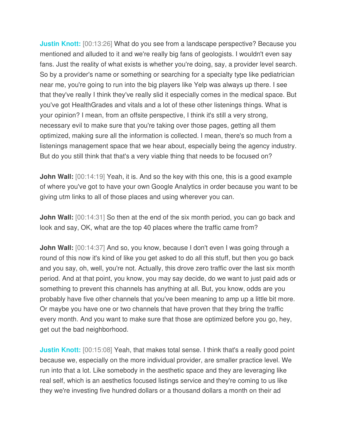**Justin Knott:** [00:13:26] What do you see from a landscape perspective? Because you mentioned and alluded to it and we're really big fans of geologists. I wouldn't even say fans. Just the reality of what exists is whether you're doing, say, a provider level search. So by a provider's name or something or searching for a specialty type like pediatrician near me, you're going to run into the big players like Yelp was always up there. I see that they've really I think they've really slid it especially comes in the medical space. But you've got HealthGrades and vitals and a lot of these other listenings things. What is your opinion? I mean, from an offsite perspective, I think it's still a very strong, necessary evil to make sure that you're taking over those pages, getting all them optimized, making sure all the information is collected. I mean, there's so much from a listenings management space that we hear about, especially being the agency industry. But do you still think that that's a very viable thing that needs to be focused on?

**John Wall:** [00:14:19] Yeah, it is. And so the key with this one, this is a good example of where you've got to have your own Google Analytics in order because you want to be giving utm links to all of those places and using wherever you can.

**John Wall:** [00:14:31] So then at the end of the six month period, you can go back and look and say, OK, what are the top 40 places where the traffic came from?

**John Wall:** [00:14:37] And so, you know, because I don't even I was going through a round of this now it's kind of like you get asked to do all this stuff, but then you go back and you say, oh, well, you're not. Actually, this drove zero traffic over the last six month period. And at that point, you know, you may say decide, do we want to just paid ads or something to prevent this channels has anything at all. But, you know, odds are you probably have five other channels that you've been meaning to amp up a little bit more. Or maybe you have one or two channels that have proven that they bring the traffic every month. And you want to make sure that those are optimized before you go, hey, get out the bad neighborhood.

**Justin Knott:** [00:15:08] Yeah, that makes total sense. I think that's a really good point because we, especially on the more individual provider, are smaller practice level. We run into that a lot. Like somebody in the aesthetic space and they are leveraging like real self, which is an aesthetics focused listings service and they're coming to us like they we're investing five hundred dollars or a thousand dollars a month on their ad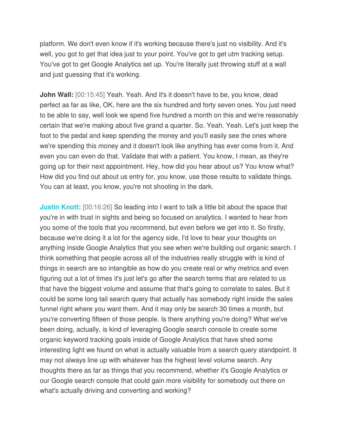platform. We don't even know if it's working because there's just no visibility. And it's well, you got to get that idea just to your point. You've got to get utm tracking setup. You've got to get Google Analytics set up. You're literally just throwing stuff at a wall and just guessing that it's working.

**John Wall:** [00:15:45] Yeah. Yeah. And it's it doesn't have to be, you know, dead perfect as far as like, OK, here are the six hundred and forty seven ones. You just need to be able to say, well look we spend five hundred a month on this and we're reasonably certain that we're making about five grand a quarter. So. Yeah. Yeah. Let's just keep the foot to the pedal and keep spending the money and you'll easily see the ones where we're spending this money and it doesn't look like anything has ever come from it. And even you can even do that. Validate that with a patient. You know, I mean, as they're going up for their next appointment. Hey, how did you hear about us? You know what? How did you find out about us entry for, you know, use those results to validate things. You can at least, you know, you're not shooting in the dark.

**Justin Knott:** [00:16:26] So leading into I want to talk a little bit about the space that you're in with trust in sights and being so focused on analytics. I wanted to hear from you some of the tools that you recommend, but even before we get into it. So firstly, because we're doing it a lot for the agency side, I'd love to hear your thoughts on anything inside Google Analytics that you see when we're building out organic search. I think something that people across all of the industries really struggle with is kind of things in search are so intangible as how do you create real or why metrics and even figuring out a lot of times it's just let's go after the search terms that are related to us that have the biggest volume and assume that that's going to correlate to sales. But it could be some long tail search query that actually has somebody right inside the sales funnel right where you want them. And it may only be search 30 times a month, but you're converting fifteen of those people. Is there anything you're doing? What we've been doing, actually, is kind of leveraging Google search console to create some organic keyword tracking goals inside of Google Analytics that have shed some interesting light we found on what is actually valuable from a search query standpoint. It may not always line up with whatever has the highest level volume search. Any thoughts there as far as things that you recommend, whether it's Google Analytics or our Google search console that could gain more visibility for somebody out there on what's actually driving and converting and working?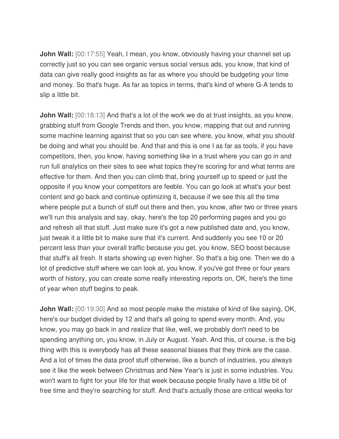**John Wall:** [00:17:55] Yeah, I mean, you know, obviously having your channel set up correctly just so you can see organic versus social versus ads, you know, that kind of data can give really good insights as far as where you should be budgeting your time and money. So that's huge. As far as topics in terms, that's kind of where G-A tends to slip a little bit.

**John Wall:** [00:18:13] And that's a lot of the work we do at trust insights, as you know, grabbing stuff from Google Trends and then, you know, mapping that out and running some machine learning against that so you can see where, you know, what you should be doing and what you should be. And that and this is one I as far as tools, if you have competitors, then, you know, having something like in a trust where you can go in and run full analytics on their sites to see what topics they're scoring for and what terms are effective for them. And then you can climb that, bring yourself up to speed or just the opposite if you know your competitors are feeble. You can go look at what's your best content and go back and continue optimizing it, because if we see this all the time where people put a bunch of stuff out there and then, you know, after two or three years we'll run this analysis and say, okay, here's the top 20 performing pages and you go and refresh all that stuff. Just make sure it's got a new published date and, you know, just tweak it a little bit to make sure that it's current. And suddenly you see 10 or 20 percent less than your overall traffic because you get, you know, SEO boost because that stuff's all fresh. It starts showing up even higher. So that's a big one. Then we do a lot of predictive stuff where we can look at, you know, if you've got three or four years worth of history, you can create some really interesting reports on, OK, here's the time of year when stuff begins to peak.

**John Wall:** [00:19:30] And so most people make the mistake of kind of like saying, OK, here's our budget divided by 12 and that's all going to spend every month. And, you know, you may go back in and realize that like, well, we probably don't need to be spending anything on, you know, in July or August. Yeah. And this, of course, is the big thing with this is everybody has all these seasonal biases that they think are the case. And a lot of times the data proof stuff otherwise, like a bunch of industries, you always see it like the week between Christmas and New Year's is just in some industries. You won't want to fight for your life for that week because people finally have a little bit of free time and they're searching for stuff. And that's actually those are critical weeks for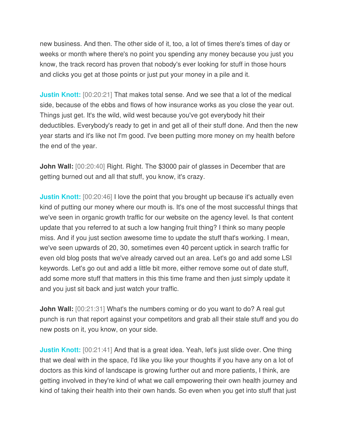new business. And then. The other side of it, too, a lot of times there's times of day or weeks or month where there's no point you spending any money because you just you know, the track record has proven that nobody's ever looking for stuff in those hours and clicks you get at those points or just put your money in a pile and it.

**Justin Knott:** [00:20:21] That makes total sense. And we see that a lot of the medical side, because of the ebbs and flows of how insurance works as you close the year out. Things just get. It's the wild, wild west because you've got everybody hit their deductibles. Everybody's ready to get in and get all of their stuff done. And then the new year starts and it's like not I'm good. I've been putting more money on my health before the end of the year.

**John Wall:** [00:20:40] Right. Right. The \$3000 pair of glasses in December that are getting burned out and all that stuff, you know, it's crazy.

**Justin Knott:** [00:20:46] I love the point that you brought up because it's actually even kind of putting our money where our mouth is. It's one of the most successful things that we've seen in organic growth traffic for our website on the agency level. Is that content update that you referred to at such a low hanging fruit thing? I think so many people miss. And if you just section awesome time to update the stuff that's working. I mean, we've seen upwards of 20, 30, sometimes even 40 percent uptick in search traffic for even old blog posts that we've already carved out an area. Let's go and add some LSI keywords. Let's go out and add a little bit more, either remove some out of date stuff, add some more stuff that matters in this this time frame and then just simply update it and you just sit back and just watch your traffic.

**John Wall:** [00:21:31] What's the numbers coming or do you want to do? A real gut punch is run that report against your competitors and grab all their stale stuff and you do new posts on it, you know, on your side.

**Justin Knott:** [00:21:41] And that is a great idea. Yeah, let's just slide over. One thing that we deal with in the space, I'd like you like your thoughts if you have any on a lot of doctors as this kind of landscape is growing further out and more patients, I think, are getting involved in they're kind of what we call empowering their own health journey and kind of taking their health into their own hands. So even when you get into stuff that just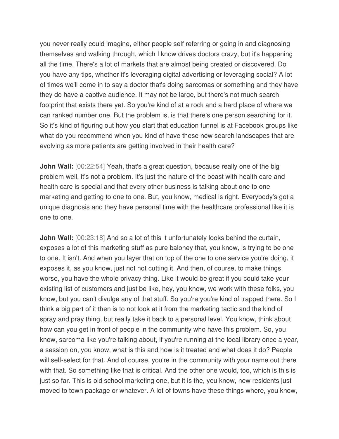you never really could imagine, either people self referring or going in and diagnosing themselves and walking through, which I know drives doctors crazy, but it's happening all the time. There's a lot of markets that are almost being created or discovered. Do you have any tips, whether it's leveraging digital advertising or leveraging social? A lot of times we'll come in to say a doctor that's doing sarcomas or something and they have they do have a captive audience. It may not be large, but there's not much search footprint that exists there yet. So you're kind of at a rock and a hard place of where we can ranked number one. But the problem is, is that there's one person searching for it. So it's kind of figuring out how you start that education funnel is at Facebook groups like what do you recommend when you kind of have these new search landscapes that are evolving as more patients are getting involved in their health care?

**John Wall:** [00:22:54] Yeah, that's a great question, because really one of the big problem well, it's not a problem. It's just the nature of the beast with health care and health care is special and that every other business is talking about one to one marketing and getting to one to one. But, you know, medical is right. Everybody's got a unique diagnosis and they have personal time with the healthcare professional like it is one to one.

**John Wall:**  $[00:23:18]$  And so a lot of this it unfortunately looks behind the curtain, exposes a lot of this marketing stuff as pure baloney that, you know, is trying to be one to one. It isn't. And when you layer that on top of the one to one service you're doing, it exposes it, as you know, just not not cutting it. And then, of course, to make things worse, you have the whole privacy thing. Like it would be great if you could take your existing list of customers and just be like, hey, you know, we work with these folks, you know, but you can't divulge any of that stuff. So you're you're kind of trapped there. So I think a big part of it then is to not look at it from the marketing tactic and the kind of spray and pray thing, but really take it back to a personal level. You know, think about how can you get in front of people in the community who have this problem. So, you know, sarcoma like you're talking about, if you're running at the local library once a year, a session on, you know, what is this and how is it treated and what does it do? People will self-select for that. And of course, you're in the community with your name out there with that. So something like that is critical. And the other one would, too, which is this is just so far. This is old school marketing one, but it is the, you know, new residents just moved to town package or whatever. A lot of towns have these things where, you know,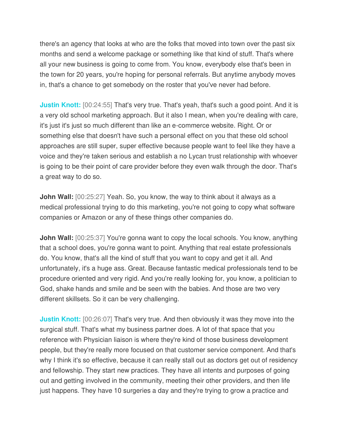there's an agency that looks at who are the folks that moved into town over the past six months and send a welcome package or something like that kind of stuff. That's where all your new business is going to come from. You know, everybody else that's been in the town for 20 years, you're hoping for personal referrals. But anytime anybody moves in, that's a chance to get somebody on the roster that you've never had before.

**Justin Knott:** [00:24:55] That's very true. That's yeah, that's such a good point. And it is a very old school marketing approach. But it also I mean, when you're dealing with care, it's just it's just so much different than like an e-commerce website. Right. Or or something else that doesn't have such a personal effect on you that these old school approaches are still super, super effective because people want to feel like they have a voice and they're taken serious and establish a no Lycan trust relationship with whoever is going to be their point of care provider before they even walk through the door. That's a great way to do so.

**John Wall:** [00:25:27] Yeah. So, you know, the way to think about it always as a medical professional trying to do this marketing, you're not going to copy what software companies or Amazon or any of these things other companies do.

**John Wall:** [00:25:37] You're gonna want to copy the local schools. You know, anything that a school does, you're gonna want to point. Anything that real estate professionals do. You know, that's all the kind of stuff that you want to copy and get it all. And unfortunately, it's a huge ass. Great. Because fantastic medical professionals tend to be procedure oriented and very rigid. And you're really looking for, you know, a politician to God, shake hands and smile and be seen with the babies. And those are two very different skillsets. So it can be very challenging.

**Justin Knott:** [00:26:07] That's very true. And then obviously it was they move into the surgical stuff. That's what my business partner does. A lot of that space that you reference with Physician liaison is where they're kind of those business development people, but they're really more focused on that customer service component. And that's why I think it's so effective, because it can really stall out as doctors get out of residency and fellowship. They start new practices. They have all intents and purposes of going out and getting involved in the community, meeting their other providers, and then life just happens. They have 10 surgeries a day and they're trying to grow a practice and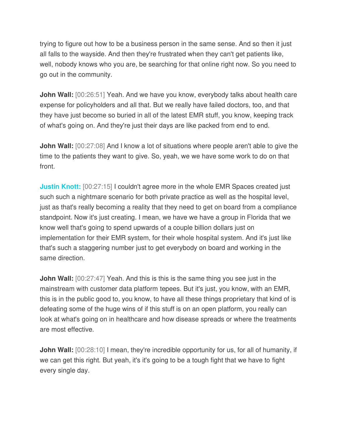trying to figure out how to be a business person in the same sense. And so then it just all falls to the wayside. And then they're frustrated when they can't get patients like, well, nobody knows who you are, be searching for that online right now. So you need to go out in the community.

**John Wall:** [00:26:51] Yeah. And we have you know, everybody talks about health care expense for policyholders and all that. But we really have failed doctors, too, and that they have just become so buried in all of the latest EMR stuff, you know, keeping track of what's going on. And they're just their days are like packed from end to end.

**John Wall:** [00:27:08] And I know a lot of situations where people aren't able to give the time to the patients they want to give. So, yeah, we we have some work to do on that front.

**Justin Knott:** [00:27:15] I couldn't agree more in the whole EMR Spaces created just such such a nightmare scenario for both private practice as well as the hospital level, just as that's really becoming a reality that they need to get on board from a compliance standpoint. Now it's just creating. I mean, we have we have a group in Florida that we know well that's going to spend upwards of a couple billion dollars just on implementation for their EMR system, for their whole hospital system. And it's just like that's such a staggering number just to get everybody on board and working in the same direction.

**John Wall:**  $[00:27:47]$  Yeah. And this is this is the same thing you see just in the mainstream with customer data platform tepees. But it's just, you know, with an EMR, this is in the public good to, you know, to have all these things proprietary that kind of is defeating some of the huge wins of if this stuff is on an open platform, you really can look at what's going on in healthcare and how disease spreads or where the treatments are most effective.

**John Wall:**  $[00:28:10]$  I mean, they're incredible opportunity for us, for all of humanity, if we can get this right. But yeah, it's it's going to be a tough fight that we have to fight every single day.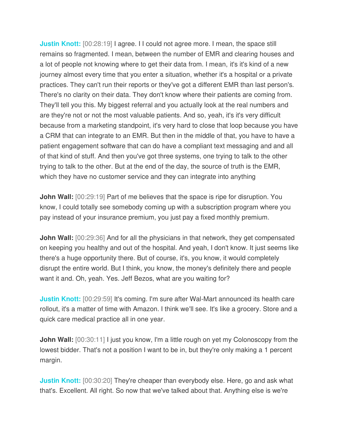**Justin Knott:** [00:28:19] I agree. I I could not agree more. I mean, the space still remains so fragmented. I mean, between the number of EMR and clearing houses and a lot of people not knowing where to get their data from. I mean, it's it's kind of a new journey almost every time that you enter a situation, whether it's a hospital or a private practices. They can't run their reports or they've got a different EMR than last person's. There's no clarity on their data. They don't know where their patients are coming from. They'll tell you this. My biggest referral and you actually look at the real numbers and are they're not or not the most valuable patients. And so, yeah, it's it's very difficult because from a marketing standpoint, it's very hard to close that loop because you have a CRM that can integrate to an EMR. But then in the middle of that, you have to have a patient engagement software that can do have a compliant text messaging and and all of that kind of stuff. And then you've got three systems, one trying to talk to the other trying to talk to the other. But at the end of the day, the source of truth is the EMR, which they have no customer service and they can integrate into anything

**John Wall:**  $[00:29:19]$  Part of me believes that the space is ripe for disruption. You know, I could totally see somebody coming up with a subscription program where you pay instead of your insurance premium, you just pay a fixed monthly premium.

**John Wall:** [00:29:36] And for all the physicians in that network, they get compensated on keeping you healthy and out of the hospital. And yeah, I don't know. It just seems like there's a huge opportunity there. But of course, it's, you know, it would completely disrupt the entire world. But I think, you know, the money's definitely there and people want it and. Oh, yeah. Yes. Jeff Bezos, what are you waiting for?

**Justin Knott:** [00:29:59] It's coming. I'm sure after Wal-Mart announced its health care rollout, it's a matter of time with Amazon. I think we'll see. It's like a grocery. Store and a quick care medical practice all in one year.

**John Wall:** [00:30:11] I just you know, I'm a little rough on yet my Colonoscopy from the lowest bidder. That's not a position I want to be in, but they're only making a 1 percent margin.

**Justin Knott:** [00:30:20] They're cheaper than everybody else. Here, go and ask what that's. Excellent. All right. So now that we've talked about that. Anything else is we're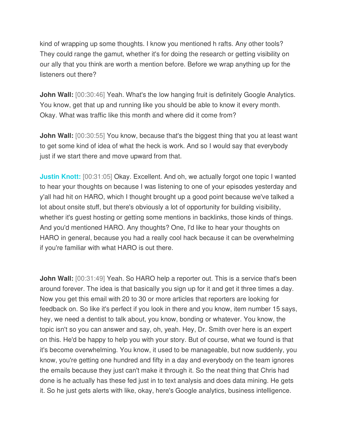kind of wrapping up some thoughts. I know you mentioned h rafts. Any other tools? They could range the gamut, whether it's for doing the research or getting visibility on our ally that you think are worth a mention before. Before we wrap anything up for the listeners out there?

**John Wall:** [00:30:46] Yeah. What's the low hanging fruit is definitely Google Analytics. You know, get that up and running like you should be able to know it every month. Okay. What was traffic like this month and where did it come from?

**John Wall:** [00:30:55] You know, because that's the biggest thing that you at least want to get some kind of idea of what the heck is work. And so I would say that everybody just if we start there and move upward from that.

**Justin Knott:** [00:31:05] Okay. Excellent. And oh, we actually forgot one topic I wanted to hear your thoughts on because I was listening to one of your episodes yesterday and y'all had hit on HARO, which I thought brought up a good point because we've talked a lot about onsite stuff, but there's obviously a lot of opportunity for building visibility, whether it's guest hosting or getting some mentions in backlinks, those kinds of things. And you'd mentioned HARO. Any thoughts? One, I'd like to hear your thoughts on HARO in general, because you had a really cool hack because it can be overwhelming if you're familiar with what HARO is out there.

**John Wall:** [00:31:49] Yeah. So HARO help a reporter out. This is a service that's been around forever. The idea is that basically you sign up for it and get it three times a day. Now you get this email with 20 to 30 or more articles that reporters are looking for feedback on. So like it's perfect if you look in there and you know, item number 15 says, hey, we need a dentist to talk about, you know, bonding or whatever. You know, the topic isn't so you can answer and say, oh, yeah. Hey, Dr. Smith over here is an expert on this. He'd be happy to help you with your story. But of course, what we found is that it's become overwhelming. You know, it used to be manageable, but now suddenly, you know, you're getting one hundred and fifty in a day and everybody on the team ignores the emails because they just can't make it through it. So the neat thing that Chris had done is he actually has these fed just in to text analysis and does data mining. He gets it. So he just gets alerts with like, okay, here's Google analytics, business intelligence.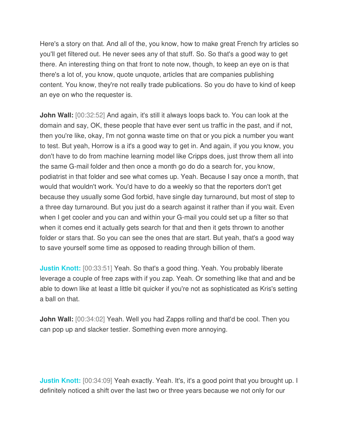Here's a story on that. And all of the, you know, how to make great French fry articles so you'll get filtered out. He never sees any of that stuff. So. So that's a good way to get there. An interesting thing on that front to note now, though, to keep an eye on is that there's a lot of, you know, quote unquote, articles that are companies publishing content. You know, they're not really trade publications. So you do have to kind of keep an eye on who the requester is.

**John Wall:** [00:32:52] And again, it's still it always loops back to. You can look at the domain and say, OK, these people that have ever sent us traffic in the past, and if not, then you're like, okay, I'm not gonna waste time on that or you pick a number you want to test. But yeah, Horrow is a it's a good way to get in. And again, if you you know, you don't have to do from machine learning model like Cripps does, just throw them all into the same G-mail folder and then once a month go do do a search for, you know, podiatrist in that folder and see what comes up. Yeah. Because I say once a month, that would that wouldn't work. You'd have to do a weekly so that the reporters don't get because they usually some God forbid, have single day turnaround, but most of step to a three day turnaround. But you just do a search against it rather than if you wait. Even when I get cooler and you can and within your G-mail you could set up a filter so that when it comes end it actually gets search for that and then it gets thrown to another folder or stars that. So you can see the ones that are start. But yeah, that's a good way to save yourself some time as opposed to reading through billion of them.

**Justin Knott:** [00:33:51] Yeah. So that's a good thing. Yeah. You probably liberate leverage a couple of free zaps with if you zap. Yeah. Or something like that and and be able to down like at least a little bit quicker if you're not as sophisticated as Kris's setting a ball on that.

**John Wall:** [00:34:02] Yeah. Well you had Zapps rolling and that'd be cool. Then you can pop up and slacker testier. Something even more annoying.

**Justin Knott:** [00:34:09] Yeah exactly. Yeah. It's, it's a good point that you brought up. I definitely noticed a shift over the last two or three years because we not only for our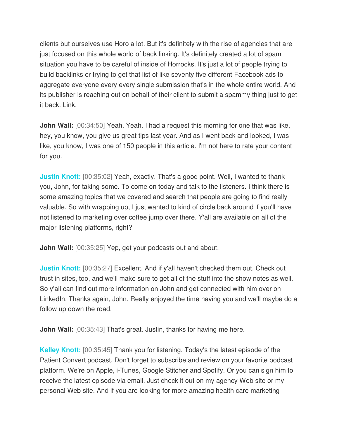clients but ourselves use Horo a lot. But it's definitely with the rise of agencies that are just focused on this whole world of back linking. It's definitely created a lot of spam situation you have to be careful of inside of Horrocks. It's just a lot of people trying to build backlinks or trying to get that list of like seventy five different Facebook ads to aggregate everyone every every single submission that's in the whole entire world. And its publisher is reaching out on behalf of their client to submit a spammy thing just to get it back. Link.

**John Wall:** [00:34:50] Yeah. Yeah. I had a request this morning for one that was like, hey, you know, you give us great tips last year. And as I went back and looked, I was like, you know, I was one of 150 people in this article. I'm not here to rate your content for you.

**Justin Knott:** [00:35:02] Yeah, exactly. That's a good point. Well, I wanted to thank you, John, for taking some. To come on today and talk to the listeners. I think there is some amazing topics that we covered and search that people are going to find really valuable. So with wrapping up, I just wanted to kind of circle back around if you'll have not listened to marketing over coffee jump over there. Y'all are available on all of the major listening platforms, right?

**John Wall:** [00:35:25] Yep, get your podcasts out and about.

**Justin Knott:** [00:35:27] Excellent. And if y'all haven't checked them out. Check out trust in sites, too, and we'll make sure to get all of the stuff into the show notes as well. So y'all can find out more information on John and get connected with him over on LinkedIn. Thanks again, John. Really enjoyed the time having you and we'll maybe do a follow up down the road.

**John Wall:** [00:35:43] That's great. Justin, thanks for having me here.

**Kelley Knott:** [00:35:45] Thank you for listening. Today's the latest episode of the Patient Convert podcast. Don't forget to subscribe and review on your favorite podcast platform. We're on Apple, i-Tunes, Google Stitcher and Spotify. Or you can sign him to receive the latest episode via email. Just check it out on my agency Web site or my personal Web site. And if you are looking for more amazing health care marketing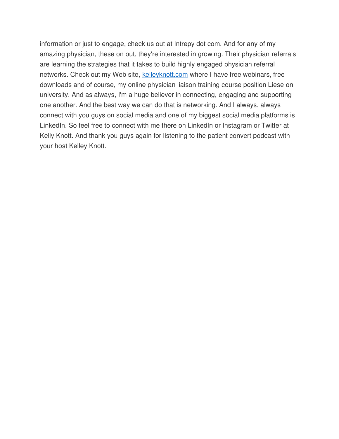information or just to engage, check us out at Intrepy dot com. And for any of my amazing physician, these on out, they're interested in growing. Their physician referrals are learning the strategies that it takes to build highly engaged physician referral networks. Check out my Web site, [kelleyknott.com](https://kelleyknott.com/) where I have free webinars, free downloads and of course, my online physician liaison training course position Liese on university. And as always, I'm a huge believer in connecting, engaging and supporting one another. And the best way we can do that is networking. And I always, always connect with you guys on social media and one of my biggest social media platforms is LinkedIn. So feel free to connect with me there on LinkedIn or Instagram or Twitter at Kelly Knott. And thank you guys again for listening to the patient convert podcast with your host Kelley Knott.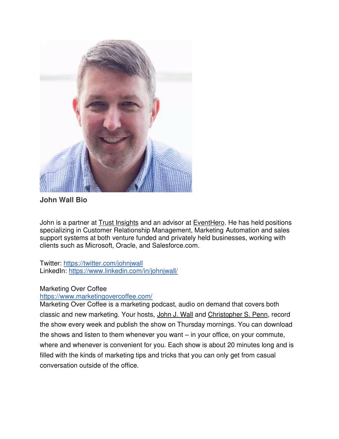

**John Wall Bio**

John is a partner at [Trust Insights](http://trustinsights.ai/) and an advisor at [EventHero.](http://eventhero.io/) He has held positions specializing in Customer Relationship Management, Marketing Automation and sales support systems at both venture funded and privately held businesses, working with clients such as Microsoft, Oracle, and Salesforce.com.

Twitter:<https://twitter.com/johnjwall> LinkedIn:<https://www.linkedin.com/in/johnjwall/>

#### Marketing Over Coffee

#### <https://www.marketingovercoffee.com/>

Marketing Over Coffee is a marketing podcast, audio on demand that covers both classic and new marketing. Your hosts, [John J. Wall](http://www.roninmarketeer.com/) and [Christopher S. Penn,](https://www.christopherspenn.com/?__hstc=59886322.bf15992eb8eff97c2135d214957178a6.1579559044181.1581435961390.1581441882025.5&__hssc=59886322.3.1581441882025&__hsfp=841935093) record the show every week and publish the show on Thursday mornings. You can download the shows and listen to them whenever you want – in your office, on your commute, where and whenever is convenient for you. Each show is about 20 minutes long and is filled with the kinds of marketing tips and tricks that you can only get from casual conversation outside of the office.